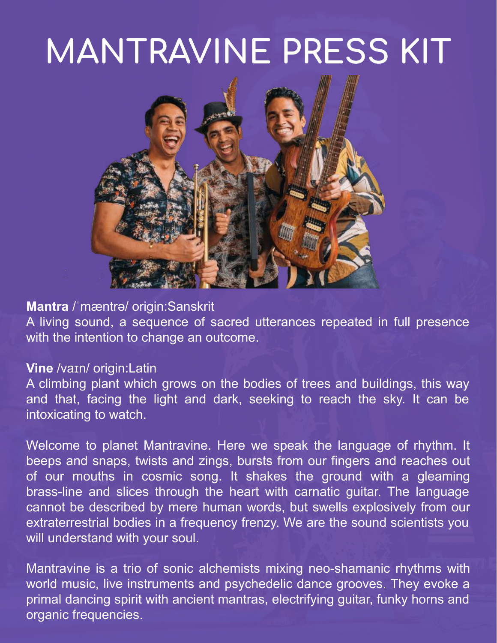## **MANTRAVINE PRESS KIT**



### **Mantra** /ˈmæntrə/ origin:Sanskrit

A living sound, a sequence of sacred utterances repeated in full presence with the intention to change an outcome.

#### **Vine** /vaɪn/ origin:Latin

A climbing plant which grows on the bodies of trees and buildings, this way and that, facing the light and dark, seeking to reach the sky. It can be intoxicating to watch.

Welcome to planet Mantravine. Here we speak the language of rhythm. It beeps and snaps, twists and zings, bursts from our fingers and reaches out of our mouths in cosmic song. It shakes the ground with a gleaming brass-line and slices through the heart with carnatic guitar. The language cannot be described by mere human words, but swells explosively from our extraterrestrial bodies in a frequency frenzy. We are the sound scientists you will understand with your soul.

Mantravine is a trio of sonic alchemists mixing neo-shamanic rhythms with world music, live instruments and psychedelic dance grooves. They evoke a primal dancing spirit with ancient mantras, electrifying guitar, funky horns and organic frequencies.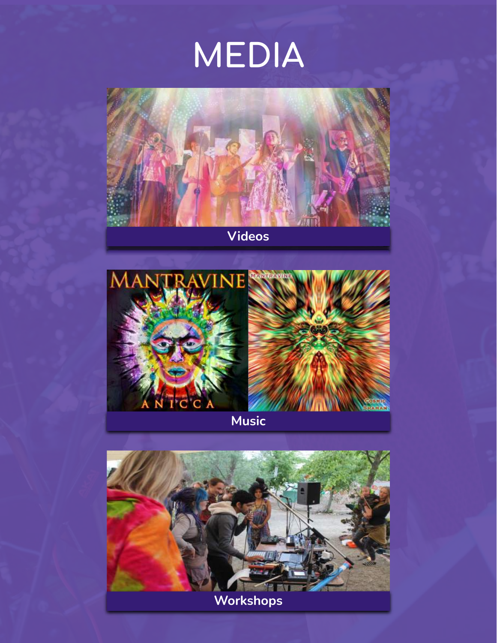## **MEDIA**



**[Videos](https://www.mantravine.com/videos)**



**[Music](https://www.mantravine.com/music)**

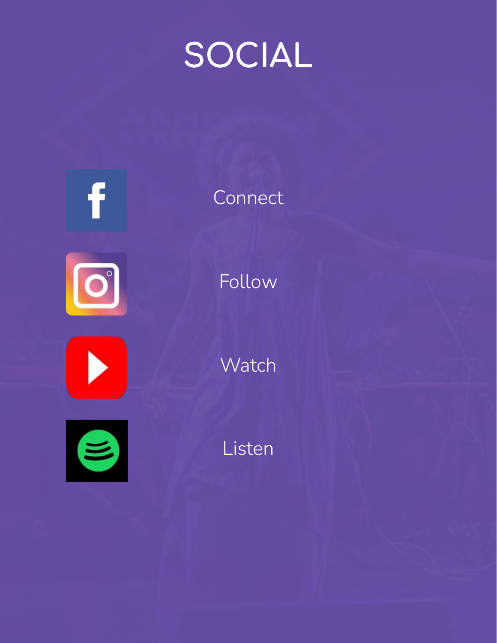## **SOCIAL**